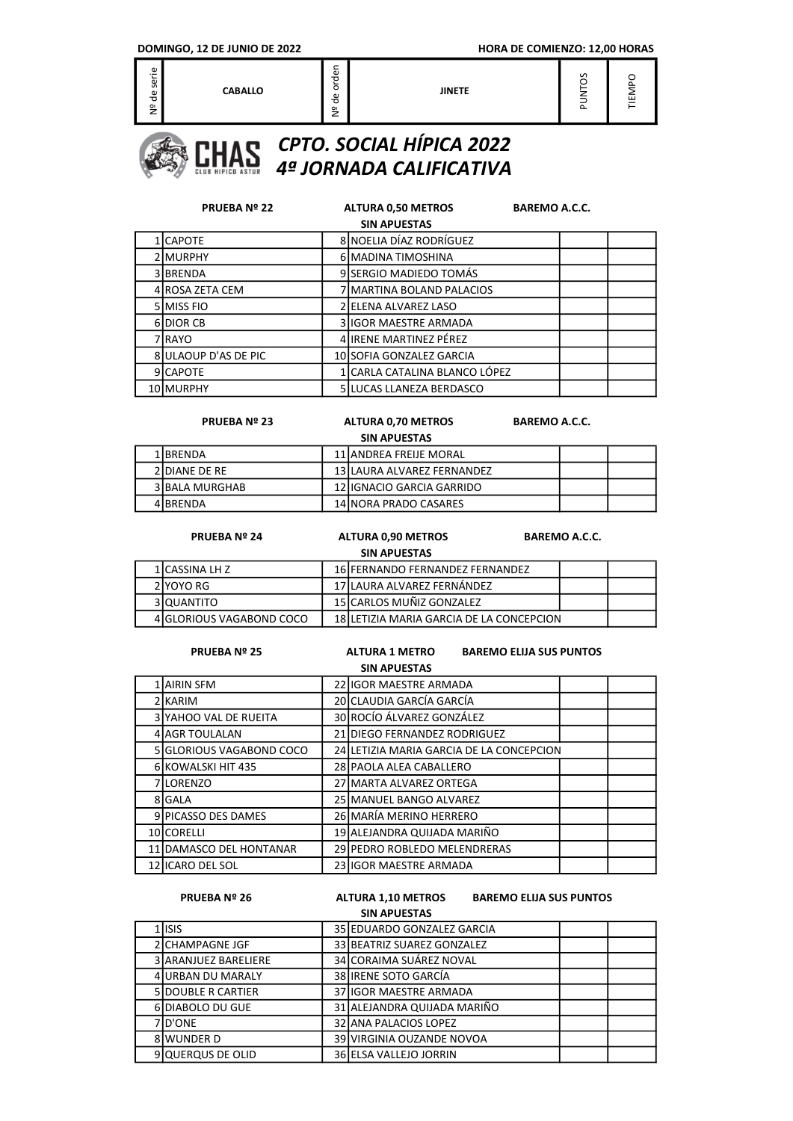| $\mathbf{O}$<br>-<br>∠ |
|------------------------|
|------------------------|



|    | <b>PRUEBA Nº 22</b>  |  | <b>ALTURA 0,50 METROS</b>     | <b>BAREMO A.C.C.</b> |  |  |  |  |
|----|----------------------|--|-------------------------------|----------------------|--|--|--|--|
|    | <b>SIN APUESTAS</b>  |  |                               |                      |  |  |  |  |
|    | <b>LCAPOTE</b>       |  | 8 NOELIA DÍAZ RODRÍGUEZ       |                      |  |  |  |  |
|    | <b>IMURPHY</b>       |  | 6 MADINA TIMOSHINA            |                      |  |  |  |  |
|    | 3 BRENDA             |  | 9 SERGIO MADIEDO TOMÁS        |                      |  |  |  |  |
|    | 4 ROSA ZETA CEM      |  | 7 MARTINA BOLAND PALACIOS     |                      |  |  |  |  |
|    | 5 MISS FIO           |  | 2 ELENA ALVAREZ LASO          |                      |  |  |  |  |
| 61 | <b>DIOR CB</b>       |  | 3 IGOR MAESTRE ARMADA         |                      |  |  |  |  |
|    | 7 RAYO               |  | 4 IRENE MARTINEZ PÉREZ        |                      |  |  |  |  |
|    | 8 ULAOUP D'AS DE PIC |  | 10 SOFIA GONZALEZ GARCIA      |                      |  |  |  |  |
|    | 9 CAPOTE             |  | 1 CARLA CATALINA BLANCO LÓPEZ |                      |  |  |  |  |
|    | 10 MURPHY            |  | 5 LUCAS LLANEZA BERDASCO      |                      |  |  |  |  |

#### PRUEBA Nº 23 ALTURA 0,70 METROS BAREMO A.C.C.

SIN APUESTAS

| <b>SIN APULSIAS</b> |                |  |                             |  |  |  |  |
|---------------------|----------------|--|-----------------------------|--|--|--|--|
|                     | 1 IBRENDA      |  | 11 IANDREA FREIJE MORAL     |  |  |  |  |
|                     | 2 DIANE DE RE  |  | 13 ILAURA ALVAREZ FERNANDEZ |  |  |  |  |
|                     | 3 BALA MURGHAB |  | 12 IIGNACIO GARCIA GARRIDO  |  |  |  |  |
|                     | 4 BRENDA       |  | 14 INORA PRADO CASARES      |  |  |  |  |

|                     | <b>PRUEBA Nº 24</b>      |  | <b>ALTURA 0.90 METROS</b>                | <b>BAREMO A.C.C.</b> |  |  |  |
|---------------------|--------------------------|--|------------------------------------------|----------------------|--|--|--|
| <b>SIN APUESTAS</b> |                          |  |                                          |                      |  |  |  |
|                     | 1 CASSINA LH Z           |  | 16 FERNANDO FERNANDEZ FERNANDEZ          |                      |  |  |  |
|                     | 2 YOYO RG                |  | 17 LAURA ALVAREZ FERNÁNDEZ               |                      |  |  |  |
|                     | 3 IQUANTITO              |  | 15 CARLOS MUÑIZ GONZALEZ                 |                      |  |  |  |
|                     | 4 GLORIOUS VAGABOND COCO |  | 18 LETIZIA MARIA GARCIA DE LA CONCEPCION |                      |  |  |  |

#### PRUEBA Nº 25 ALTURA 1 METRO BAREMO ELIJA SUS PUNTOS SIN APUESTAS

| SIN APULSIAS |                          |  |                                          |  |  |  |  |
|--------------|--------------------------|--|------------------------------------------|--|--|--|--|
|              | <b>AIRIN SFM</b>         |  | 22 IIGOR MAESTRE ARMADA                  |  |  |  |  |
|              | <b>IKARIM</b>            |  | 20 CLAUDIA GARCÍA GARCÍA                 |  |  |  |  |
|              | 3 YAHOO VAL DE RUEITA    |  | 30 ROCÍO ÁLVAREZ GONZÁLEZ                |  |  |  |  |
|              | 4 AGR TOULALAN           |  | 21 DIEGO FERNANDEZ RODRIGUEZ             |  |  |  |  |
|              | 5 GLORIOUS VAGABOND COCO |  | 24 LETIZIA MARIA GARCIA DE LA CONCEPCION |  |  |  |  |
|              | 6 KOWALSKI HIT 435       |  | 28 PAOLA ALEA CABALLERO                  |  |  |  |  |
|              | 7 LORENZO                |  | 27 MARTA ALVAREZ ORTEGA                  |  |  |  |  |
|              | 8 GALA                   |  | 25 MANUEL BANGO ALVAREZ                  |  |  |  |  |
|              | 9 PICASSO DES DAMES      |  | 26 MARÍA MERINO HERRERO                  |  |  |  |  |
|              | 10 CORELLI               |  | 19 ALEJANDRA QUIJADA MARIÑO              |  |  |  |  |
|              | 11 DAMASCO DEL HONTANAR  |  | 29 PEDRO ROBLEDO MELENDRERAS             |  |  |  |  |
|              | 12 IICARO DEL SOL        |  | 23 IIGOR MAESTRE ARMADA                  |  |  |  |  |

### SIN APUESTAS PRUEBA Nº 26 ALTURA 1,10 METROS BAREMO ELIJA SUS PUNTOS

## 1 ISIS 25 EDUARDO GONZALEZ GARCIA 2 CHAMPAGNE JGF 33 BEATRIZ SUAREZ GONZALEZ 3 ARANJUEZ BARELIERE 34 CORAIMA SUÁREZ NOVAL 4 URBAN DU MARALY 38 IRENE SOTO GARCÍA 5 DOUBLE R CARTIER 37 IGOR MAESTRE ARMADA 6 DIABOLO DU GUE 31 ALEJANDRA QUIJADA MARIÑO 7 D'ONE 32 ANA PALACIOS LOPEZ 8 WUNDER D 39 VIRGINIA OUZANDE NOVOA 9 QUERQUS DE OLID 36 ELSA VALLEJO JORRIN